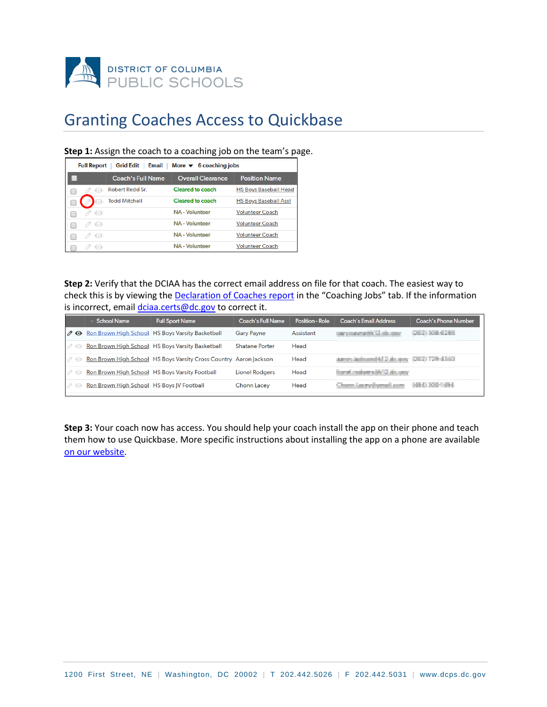

## Granting Coaches Access to Quickbase

## **Step 1:** Assign the coach to a coaching job on the team's page.

| Email   More $\blacktriangledown$ 6 coaching jobs<br><b>Grid Edit</b><br><b>Full Report</b> |                          |                          |                              |  |  |  |  |
|---------------------------------------------------------------------------------------------|--------------------------|--------------------------|------------------------------|--|--|--|--|
|                                                                                             | <b>Coach's Full Name</b> | <b>Overall Clearance</b> | <b>Position Name</b>         |  |  |  |  |
|                                                                                             | Robert Redd Sr.          | Cleared to coach         | <b>HS Boys Baseball Head</b> |  |  |  |  |
| Сoв                                                                                         | <b>Todd Mitchell</b>     | Cleared to coach         | <b>HS Boys Baseball Asst</b> |  |  |  |  |
| $\bigcirc$                                                                                  |                          | <b>NA</b> - Volunteer    | <b>Volunteer Coach</b>       |  |  |  |  |
| $\langle \cdot \rangle$                                                                     |                          | <b>NA</b> - Volunteer    | <b>Volunteer Coach</b>       |  |  |  |  |
| $\langle \circ \rangle$                                                                     |                          | <b>NA</b> - Volunteer    | <b>Volunteer Coach</b>       |  |  |  |  |
|                                                                                             |                          | <b>NA</b> - Volunteer    | <b>Volunteer Coach</b>       |  |  |  |  |

**Step 2:** Verify that the DCIAA has the correct email address on file for that coach. The easiest way to check this is by viewing the **Declaration of Coaches report** in the "Coaching Jobs" tab. If the information is incorrect, email *dciaa.certs@dc.gov* to correct it.

|                     | <b>School Name</b>                        | <b>Full Sport Name</b>                                            | <b>Coach's Full Name</b> | Position - Role | Coach's Email Address                    | Coach's Phone Number |
|---------------------|-------------------------------------------|-------------------------------------------------------------------|--------------------------|-----------------|------------------------------------------|----------------------|
| $\partial$ $\Theta$ |                                           | <b>Ron Brown High School</b> HS Boys Varsity Basketball           | <b>Gary Payne</b>        | Assistant       | pay navya@13.4kgpay                      | ONLY JOB 4289        |
| $\mathscr{O}$       |                                           | Ron Brown High School HS Boys Varsity Basketball                  | <b>Shatane Porter</b>    | Head            |                                          |                      |
| $\mathscr{O}$       |                                           | Ron Brown High School HS Boys Varsity Cross Country Aaron Jackson |                          | Head            | agers indexed to 2 do noy (202) 729-4383 |                      |
| $\mathscr{O}$       |                                           | Ron Brown High School HS Boys Varsity Football                    | <b>Lionel Rodgers</b>    | Head            | for all color of the con-                |                      |
| $\mathscr{O}$       | Ron Brown High School HS Boys JV Football |                                                                   | Chonn Lacey              | Head            | Channel Amery (represent a serv-         | <b>MEDIZINE</b>      |

**Step 3:** Your coach now has access. You should help your coach install the app on their phone and teach them how to use Quickbase. More specific instructions about installing the app on a phone are available [on our website.](https://www.thedciaa.com/manage-your-team)